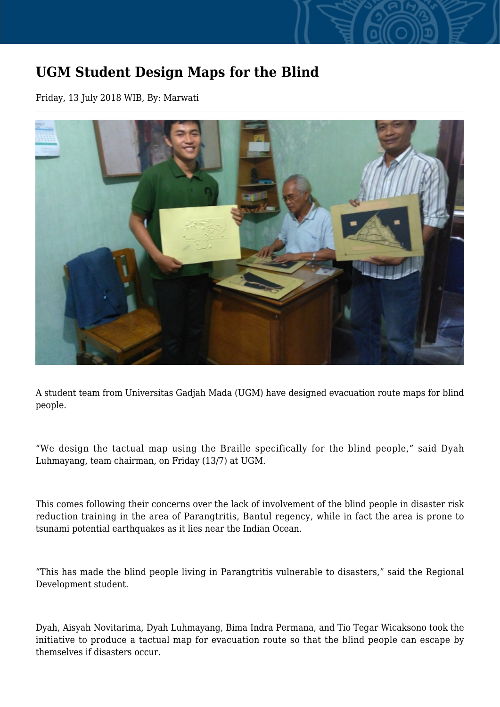## **UGM Student Design Maps for the Blind**

Friday, 13 July 2018 WIB, By: Marwati



A student team from Universitas Gadjah Mada (UGM) have designed evacuation route maps for blind people.

"We design the tactual map using the Braille specifically for the blind people," said Dyah Luhmayang, team chairman, on Friday (13/7) at UGM.

This comes following their concerns over the lack of involvement of the blind people in disaster risk reduction training in the area of Parangtritis, Bantul regency, while in fact the area is prone to tsunami potential earthquakes as it lies near the Indian Ocean.

"This has made the blind people living in Parangtritis vulnerable to disasters," said the Regional Development student.

Dyah, Aisyah Novitarima, Dyah Luhmayang, Bima Indra Permana, and Tio Tegar Wicaksono took the initiative to produce a tactual map for evacuation route so that the blind people can escape by themselves if disasters occur.